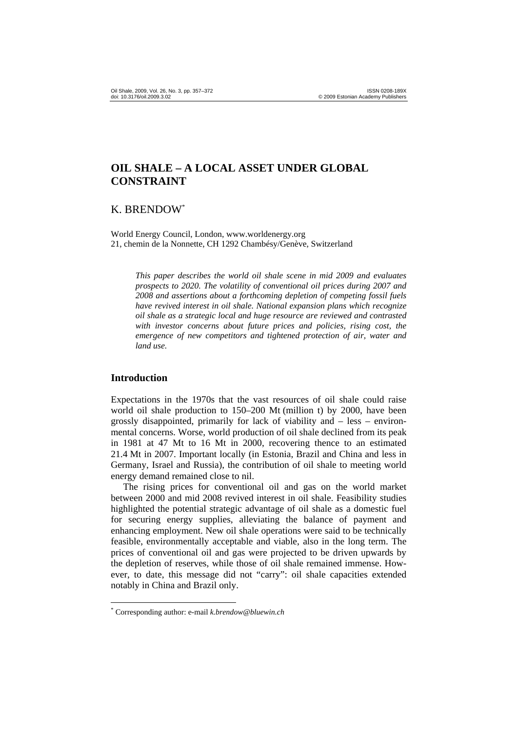# **OIL SHALE – A LOCAL ASSET UNDER GLOBAL CONSTRAINT**

# K. BRENDOW\*

World Energy Council, London, www.worldenergy.org 21, chemin de la Nonnette, CH 1292 Chambésy/Genève, Switzerland

*This paper describes the world oil shale scene in mid 2009 and evaluates prospects to 2020. The volatility of conventional oil prices during 2007 and 2008 and assertions about a forthcoming depletion of competing fossil fuels have revived interest in oil shale. National expansion plans which recognize oil shale as a strategic local and huge resource are reviewed and contrasted with investor concerns about future prices and policies, rising cost, the emergence of new competitors and tightened protection of air, water and land use.* 

### **Introduction**

 $\overline{a}$ 

Expectations in the 1970s that the vast resources of oil shale could raise world oil shale production to 150–200 Mt (million t) by 2000, have been grossly disappointed, primarily for lack of viability and – less – environmental concerns. Worse, world production of oil shale declined from its peak in 1981 at 47 Mt to 16 Mt in 2000, recovering thence to an estimated 21.4 Mt in 2007. Important locally (in Estonia, Brazil and China and less in Germany, Israel and Russia), the contribution of oil shale to meeting world energy demand remained close to nil.

The rising prices for conventional oil and gas on the world market between 2000 and mid 2008 revived interest in oil shale. Feasibility studies highlighted the potential strategic advantage of oil shale as a domestic fuel for securing energy supplies, alleviating the balance of payment and enhancing employment. New oil shale operations were said to be technically feasible, environmentally acceptable and viable, also in the long term. The prices of conventional oil and gas were projected to be driven upwards by the depletion of reserves, while those of oil shale remained immense. However, to date, this message did not "carry": oil shale capacities extended notably in China and Brazil only.

<sup>\*</sup> Corresponding author: e-mail *k.brendow@bluewin.ch*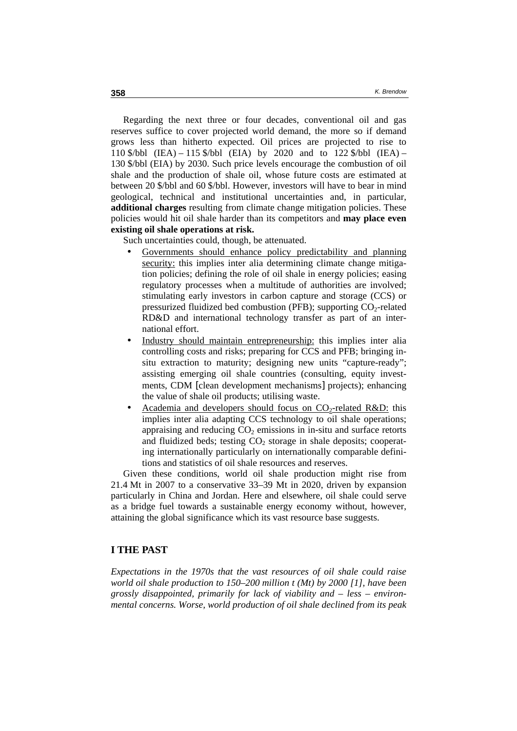Regarding the next three or four decades, conventional oil and gas reserves suffice to cover projected world demand, the more so if demand grows less than hitherto expected. Oil prices are projected to rise to 110 \$/bbl (IEA) – 115 \$/bbl (EIA) by 2020 and to 122 \$/bbl (IEA) – 130 \$/bbl (EIA) by 2030. Such price levels encourage the combustion of oil shale and the production of shale oil, whose future costs are estimated at between 20 \$/bbl and 60 \$/bbl. However, investors will have to bear in mind geological, technical and institutional uncertainties and, in particular, **additional charges** resulting from climate change mitigation policies. These policies would hit oil shale harder than its competitors and **may place even existing oil shale operations at risk.** 

Such uncertainties could, though, be attenuated.

- Governments should enhance policy predictability and planning security: this implies inter alia determining climate change mitigation policies; defining the role of oil shale in energy policies; easing regulatory processes when a multitude of authorities are involved; stimulating early investors in carbon capture and storage (CCS) or pressurized fluidized bed combustion (PFB); supporting  $CO<sub>2</sub>$ -related RD&D and international technology transfer as part of an international effort.
- Industry should maintain entrepreneurship: this implies inter alia controlling costs and risks; preparing for CCS and PFB; bringing insitu extraction to maturity; designing new units "capture-ready"; assisting emerging oil shale countries (consulting, equity investments, CDM [clean development mechanisms] projects); enhancing the value of shale oil products; utilising waste.
- Academia and developers should focus on  $CO<sub>2</sub>$ -related R&D: this implies inter alia adapting CCS technology to oil shale operations; appraising and reducing  $CO<sub>2</sub>$  emissions in in-situ and surface retorts and fluidized beds; testing  $CO<sub>2</sub>$  storage in shale deposits; cooperating internationally particularly on internationally comparable definitions and statistics of oil shale resources and reserves.

Given these conditions, world oil shale production might rise from 21.4 Mt in 2007 to a conservative 33–39 Mt in 2020, driven by expansion particularly in China and Jordan. Here and elsewhere, oil shale could serve as a bridge fuel towards a sustainable energy economy without, however, attaining the global significance which its vast resource base suggests.

### **I THE PAST**

*Expectations in the 1970s that the vast resources of oil shale could raise world oil shale production to 150–200 million t (Mt) by 2000 [1], have been grossly disappointed, primarily for lack of viability and – less – environmental concerns. Worse, world production of oil shale declined from its peak*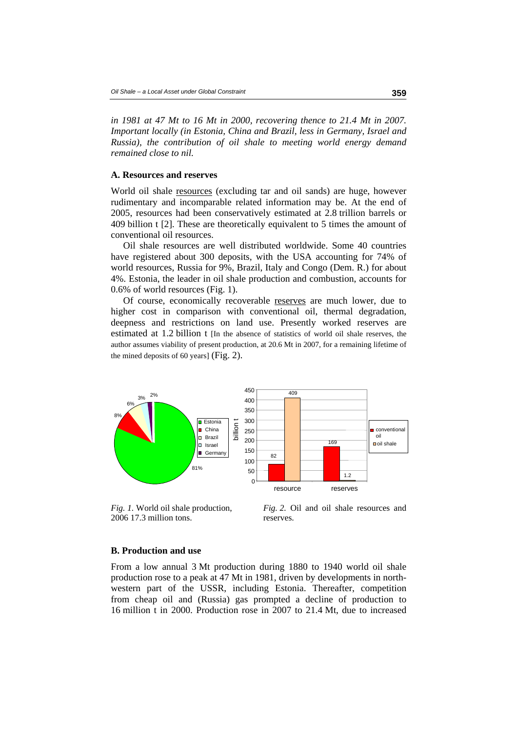*in 1981 at 47 Mt to 16 Mt in 2000, recovering thence to 21.4 Mt in 2007. Important locally (in Estonia, China and Brazil, less in Germany, Israel and Russia), the contribution of oil shale to meeting world energy demand remained close to nil.* 

#### **A. Resources and reserves**

World oil shale resources (excluding tar and oil sands) are huge, however rudimentary and incomparable related information may be. At the end of 2005, resources had been conservatively estimated at 2.8 trillion barrels or 409 billion t [2]. These are theoretically equivalent to 5 times the amount of conventional oil resources.

Oil shale resources are well distributed worldwide. Some 40 countries have registered about 300 deposits, with the USA accounting for 74% of world resources, Russia for 9%, Brazil, Italy and Congo (Dem. R.) for about 4%. Estonia, the leader in oil shale production and combustion, accounts for 0.6% of world resources (Fig. 1).

Of course, economically recoverable reserves are much lower, due to higher cost in comparison with conventional oil, thermal degradation, deepness and restrictions on land use. Presently worked reserves are estimated at 1.2 billion t [In the absence of statistics of world oil shale reserves, the author assumes viability of present production, at 20.6 Mt in 2007, for a remaining lifetime of the mined deposits of 60 years] (Fig. 2).



*Fig. 1.* World oil shale production, 2006 17.3 million tons.

*Fig. 2.* Oil and oil shale resources and reserves.

#### **B. Production and use**

From a low annual 3 Mt production during 1880 to 1940 world oil shale production rose to a peak at 47 Mt in 1981, driven by developments in northwestern part of the USSR, including Estonia. Thereafter, competition from cheap oil and (Russia) gas prompted a decline of production to 16 million t in 2000. Production rose in 2007 to 21.4 Mt, due to increased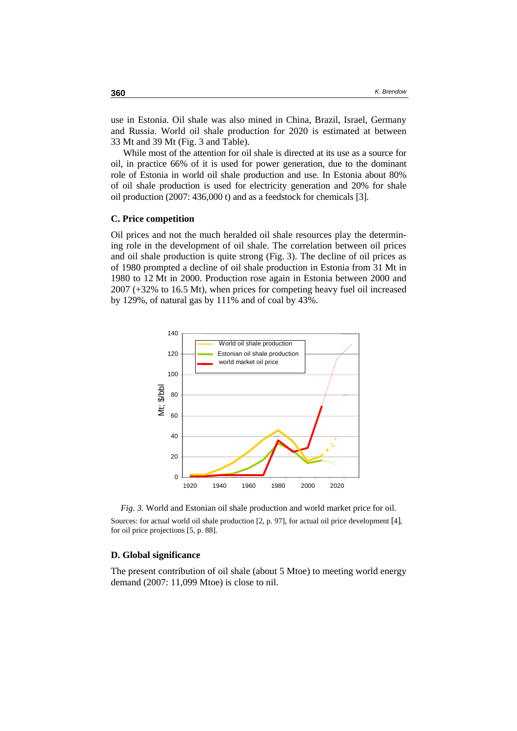use in Estonia. Oil shale was also mined in China, Brazil, Israel, Germany and Russia. World oil shale production for 2020 is estimated at between 33 Mt and 39 Mt (Fig. 3 and Table).

While most of the attention for oil shale is directed at its use as a source for oil, in practice 66% of it is used for power generation, due to the dominant role of Estonia in world oil shale production and use. In Estonia about 80% of oil shale production is used for electricity generation and 20% for shale oil production (2007: 436,000 t) and as a feedstock for chemicals [3].

#### **C. Price competition**

Oil prices and not the much heralded oil shale resources play the determining role in the development of oil shale. The correlation between oil prices and oil shale production is quite strong (Fig. 3). The decline of oil prices as of 1980 prompted a decline of oil shale production in Estonia from 31 Mt in 1980 to 12 Mt in 2000. Production rose again in Estonia between 2000 and 2007 (+32% to 16.5 Mt), when prices for competing heavy fuel oil increased by 129%, of natural gas by 111% and of coal by 43%.



*Fig. 3.* World and Estonian oil shale production and world market price for oil. Sources: for actual world oil shale production [2, p. 97], for actual oil price development [4], for oil price projections [5, p. 88].

#### **D. Global significance**

The present contribution of oil shale (about 5 Mtoe) to meeting world energy demand (2007: 11,099 Mtoe) is close to nil.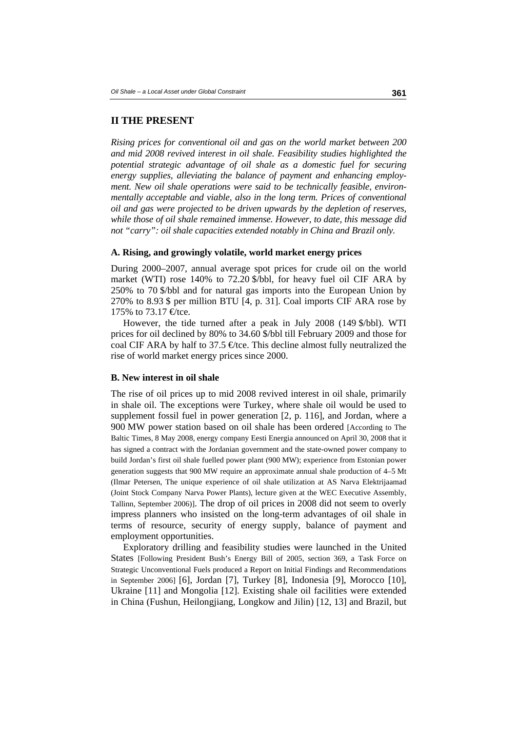### **II THE PRESENT**

*Rising prices for conventional oil and gas on the world market between 200 and mid 2008 revived interest in oil shale. Feasibility studies highlighted the potential strategic advantage of oil shale as a domestic fuel for securing energy supplies, alleviating the balance of payment and enhancing employment. New oil shale operations were said to be technically feasible, environmentally acceptable and viable, also in the long term. Prices of conventional oil and gas were projected to be driven upwards by the depletion of reserves, while those of oil shale remained immense. However, to date, this message did not "carry": oil shale capacities extended notably in China and Brazil only.* 

#### **A. Rising, and growingly volatile, world market energy prices**

During 2000–2007, annual average spot prices for crude oil on the world market (WTI) rose 140% to 72.20 \$/bbl, for heavy fuel oil CIF ARA by 250% to 70 \$/bbl and for natural gas imports into the European Union by 270% to 8.93 \$ per million BTU [4, p. 31]. Coal imports CIF ARA rose by 175% to 73.17  $\text{ftce}$ .

However, the tide turned after a peak in July 2008 (149 \$/bbl). WTI prices for oil declined by 80% to 34.60 \$/bbl till February 2009 and those for coal CIF ARA by half to 37.5  $\epsilon$  tce. This decline almost fully neutralized the rise of world market energy prices since 2000.

#### **B. New interest in oil shale**

The rise of oil prices up to mid 2008 revived interest in oil shale, primarily in shale oil. The exceptions were Turkey, where shale oil would be used to supplement fossil fuel in power generation [2, p. 116], and Jordan, where a 900 MW power station based on oil shale has been ordered [According to The Baltic Times, 8 May 2008, energy company Eesti Energia announced on April 30, 2008 that it has signed a contract with the Jordanian government and the state-owned power company to build Jordan's first oil shale fuelled power plant (900 MW); experience from Estonian power generation suggests that 900 MW require an approximate annual shale production of 4–5 Mt (Ilmar Petersen, The unique experience of oil shale utilization at AS Narva Elektrijaamad (Joint Stock Company Narva Power Plants), lecture given at the WEC Executive Assembly, Tallinn, September 2006)]. The drop of oil prices in 2008 did not seem to overly impress planners who insisted on the long-term advantages of oil shale in terms of resource, security of energy supply, balance of payment and employment opportunities.

Exploratory drilling and feasibility studies were launched in the United States [Following President Bush's Energy Bill of 2005, section 369, a Task Force on Strategic Unconventional Fuels produced a Report on Initial Findings and Recommendations in September 2006] [6], Jordan [7], Turkey [8], Indonesia [9], Morocco [10], Ukraine [11] and Mongolia [12]. Existing shale oil facilities were extended in China (Fushun, Heilongjiang, Longkow and Jilin) [12, 13] and Brazil, but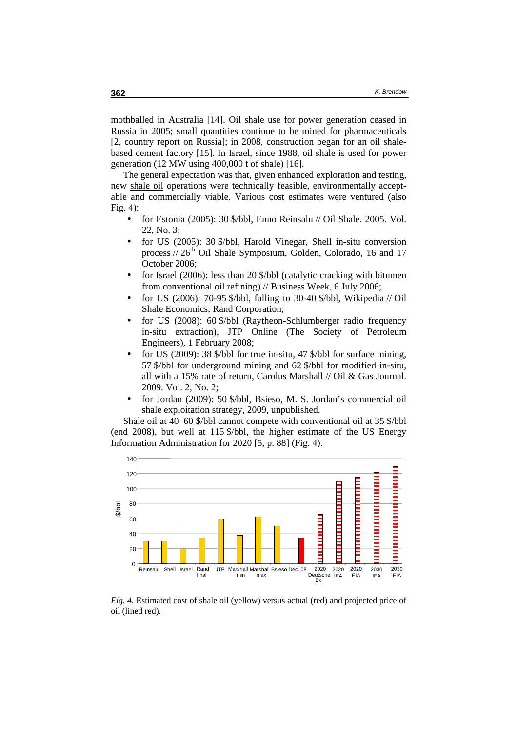mothballed in Australia [14]. Oil shale use for power generation ceased in Russia in 2005; small quantities continue to be mined for pharmaceuticals [2, country report on Russia]; in 2008, construction began for an oil shalebased cement factory [15]. In Israel, since 1988, oil shale is used for power generation (12 MW using 400,000 t of shale) [16].

The general expectation was that, given enhanced exploration and testing, new shale oil operations were technically feasible, environmentally acceptable and commercially viable. Various cost estimates were ventured (also Fig. 4):

- for Estonia (2005): 30 \$/bbl, Enno Reinsalu // Oil Shale. 2005. Vol. 22, No. 3;
- for US (2005): 30 \$/bbl, Harold Vinegar, Shell in-situ conversion process  $/26<sup>th</sup>$  Oil Shale Symposium, Golden, Colorado, 16 and 17 October 2006;
- for Israel (2006): less than 20 \$/bbl (catalytic cracking with bitumen from conventional oil refining) // Business Week, 6 July 2006;
- for US (2006): 70-95 \$/bbl, falling to 30-40 \$/bbl, Wikipedia // Oil Shale Economics, Rand Corporation;
- for US (2008): 60 \$/bbl (Raytheon-Schlumberger radio frequency in-situ extraction), JTP Online (The Society of Petroleum Engineers), 1 February 2008;
- for US (2009): 38 \$/bbl for true in-situ, 47 \$/bbl for surface mining, 57 \$/bbl for underground mining and 62 \$/bbl for modified in-situ, all with a 15% rate of return, Carolus Marshall // Oil & Gas Journal. 2009. Vol. 2, No. 2;
- for Jordan (2009): 50 \$/bbl, Bsieso, M. S. Jordan's commercial oil shale exploitation strategy, 2009, unpublished.

Shale oil at 40–60 \$/bbl cannot compete with conventional oil at 35 \$/bbl (end 2008), but well at 115 \$/bbl, the higher estimate of the US Energy Information Administration for 2020 [5, p. 88] (Fig. 4).



*Fig. 4.* Estimated cost of shale oil (yellow) versus actual (red) and projected price of oil (lined red).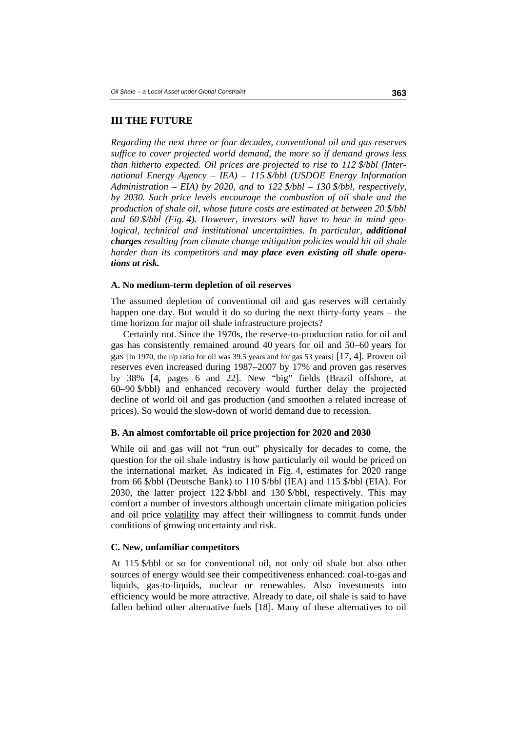# **III THE FUTURE**

*Regarding the next three or four decades, conventional oil and gas reserves suffice to cover projected world demand, the more so if demand grows less than hitherto expected. Oil prices are projected to rise to 112 \$/bbl (International Energy Agency – IEA) – 115 \$/bbl (USDOE Energy Information Administration – EIA) by 2020, and to 122 \$/bbl – 130 \$/bbl, respectively, by 2030. Such price levels encourage the combustion of oil shale and the production of shale oil, whose future costs are estimated at between 20 \$/bbl and 60 \$/bbl (Fig. 4). However, investors will have to bear in mind geological, technical and institutional uncertainties. In particular, <i>additional charges resulting from climate change mitigation policies would hit oil shale harder than its competitors and may place even existing oil shale operations at risk.* 

#### **A. No medium-term depletion of oil reserves**

The assumed depletion of conventional oil and gas reserves will certainly happen one day. But would it do so during the next thirty-forty years – the time horizon for major oil shale infrastructure projects?

Certainly not. Since the 1970s, the reserve-to-production ratio for oil and gas has consistently remained around 40 years for oil and 50–60 years for gas [In 1970, the r/p ratio for oil was 39.5 years and for gas 53 years] [17, 4]. Proven oil reserves even increased during 1987–2007 by 17% and proven gas reserves by 38% [4, pages 6 and 22]. New "big" fields (Brazil offshore, at 60–90 \$/bbl) and enhanced recovery would further delay the projected decline of world oil and gas production (and smoothen a related increase of prices). So would the slow-down of world demand due to recession.

#### **B. An almost comfortable oil price projection for 2020 and 2030**

While oil and gas will not "run out" physically for decades to come, the question for the oil shale industry is how particularly oil would be priced on the international market. As indicated in Fig. 4, estimates for 2020 range from 66 \$/bbl (Deutsche Bank) to 110 \$/bbl (IEA) and 115 \$/bbl (EIA). For 2030, the latter project 122 \$/bbl and 130 \$/bbl, respectively. This may comfort a number of investors although uncertain climate mitigation policies and oil price volatility may affect their willingness to commit funds under conditions of growing uncertainty and risk.

#### **C. New, unfamiliar competitors**

At 115 \$/bbl or so for conventional oil, not only oil shale but also other sources of energy would see their competitiveness enhanced: coal-to-gas and liquids, gas-to-liquids, nuclear or renewables. Also investments into efficiency would be more attractive. Already to date, oil shale is said to have fallen behind other alternative fuels [18]. Many of these alternatives to oil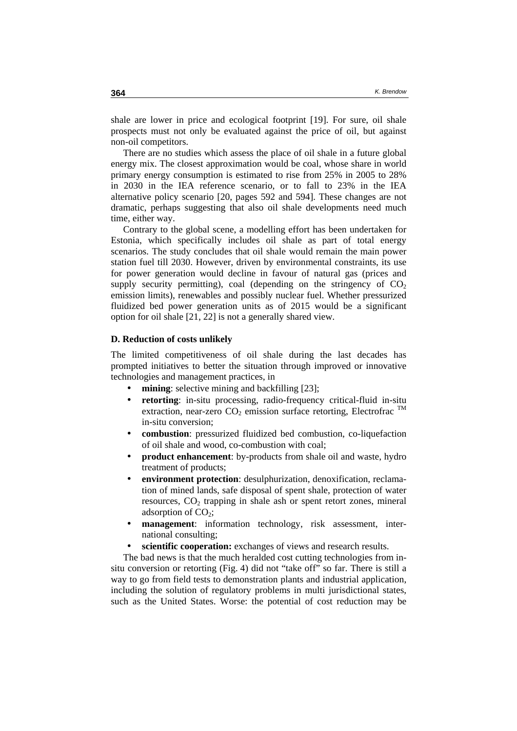shale are lower in price and ecological footprint [19]. For sure, oil shale prospects must not only be evaluated against the price of oil, but against non-oil competitors.

There are no studies which assess the place of oil shale in a future global energy mix. The closest approximation would be coal, whose share in world primary energy consumption is estimated to rise from 25% in 2005 to 28% in 2030 in the IEA reference scenario, or to fall to 23% in the IEA alternative policy scenario [20, pages 592 and 594]. These changes are not dramatic, perhaps suggesting that also oil shale developments need much time, either way.

Contrary to the global scene, a modelling effort has been undertaken for Estonia, which specifically includes oil shale as part of total energy scenarios. The study concludes that oil shale would remain the main power station fuel till 2030. However, driven by environmental constraints, its use for power generation would decline in favour of natural gas (prices and supply security permitting), coal (depending on the stringency of  $CO<sub>2</sub>$ emission limits), renewables and possibly nuclear fuel. Whether pressurized fluidized bed power generation units as of 2015 would be a significant option for oil shale [21, 22] is not a generally shared view.

### **D. Reduction of costs unlikely**

The limited competitiveness of oil shale during the last decades has prompted initiatives to better the situation through improved or innovative technologies and management practices, in

- **mining**: selective mining and backfilling [23];
- **retorting**: in-situ processing, radio-frequency critical-fluid in-situ extraction, near-zero  $CO_2$  emission surface retorting, Electrofrac  $^{TM}$ in-situ conversion;
- **combustion**: pressurized fluidized bed combustion, co-liquefaction of oil shale and wood, co-combustion with coal;
- **product enhancement**: by-products from shale oil and waste, hydro treatment of products;
- **environment protection**: desulphurization, denoxification, reclamation of mined lands, safe disposal of spent shale, protection of water resources,  $CO<sub>2</sub>$  trapping in shale ash or spent retort zones, mineral adsorption of  $CO<sub>2</sub>$ ;
- **management**: information technology, risk assessment, international consulting;
- **scientific cooperation:** exchanges of views and research results.

The bad news is that the much heralded cost cutting technologies from insitu conversion or retorting (Fig. 4) did not "take off" so far. There is still a way to go from field tests to demonstration plants and industrial application, including the solution of regulatory problems in multi jurisdictional states, such as the United States. Worse: the potential of cost reduction may be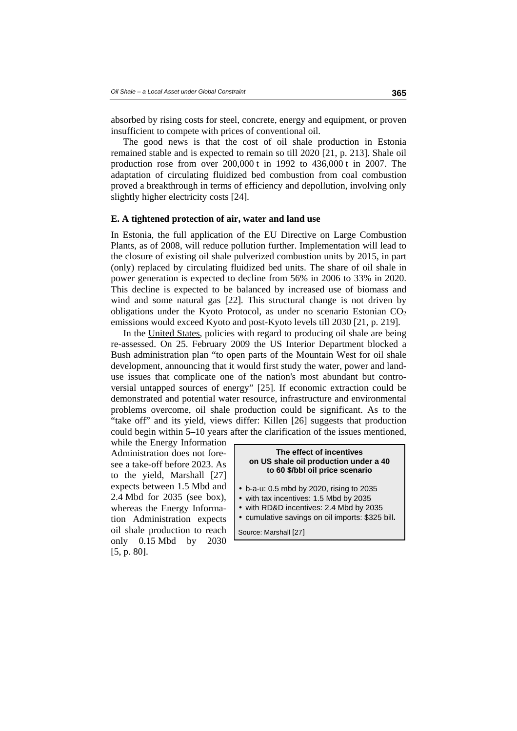absorbed by rising costs for steel, concrete, energy and equipment, or proven insufficient to compete with prices of conventional oil.

The good news is that the cost of oil shale production in Estonia remained stable and is expected to remain so till 2020 [21, p. 213]. Shale oil production rose from over 200,000 t in 1992 to 436,000 t in 2007. The adaptation of circulating fluidized bed combustion from coal combustion proved a breakthrough in terms of efficiency and depollution, involving only slightly higher electricity costs [24].

#### **E. A tightened protection of air, water and land use**

In Estonia, the full application of the EU Directive on Large Combustion Plants, as of 2008, will reduce pollution further. Implementation will lead to the closure of existing oil shale pulverized combustion units by 2015, in part (only) replaced by circulating fluidized bed units. The share of oil shale in power generation is expected to decline from 56% in 2006 to 33% in 2020. This decline is expected to be balanced by increased use of biomass and wind and some natural gas [22]. This structural change is not driven by obligations under the Kyoto Protocol, as under no scenario Estonian  $CO<sub>2</sub>$ emissions would exceed Kyoto and post-Kyoto levels till 2030 [21, p. 219].

In the United States, policies with regard to producing oil shale are being re-assessed. On 25. February 2009 the US Interior Department blocked a Bush administration plan "to open parts of the Mountain West for oil shale development, announcing that it would first study the water, power and landuse issues that complicate one of the nation's most abundant but controversial untapped sources of energy" [25]. If economic extraction could be demonstrated and potential water resource, infrastructure and environmental problems overcome, oil shale production could be significant. As to the "take off" and its yield, views differ: Killen [26] suggests that production could begin within 5–10 years after the clarification of the issues mentioned,

while the Energy Information Administration does not foresee a take-off before 2023. As to the yield, Marshall [27] expects between 1.5 Mbd and 2.4 Mbd for 2035 (see box), whereas the Energy Information Administration expects oil shale production to reach only 0.15 Mbd by 2030 [5, p. 80].

#### **The effect of incentives on US shale oil production under a 40 to 60 \$/bbl oil price scenario**

- b-a-u: 0.5 mbd by 2020, rising to 2035
- with tax incentives: 1.5 Mbd by 2035
- with RD&D incentives: 2.4 Mbd by 2035
- cumulative savings on oil imports: \$325 bill**.**

Source: Marshall [27]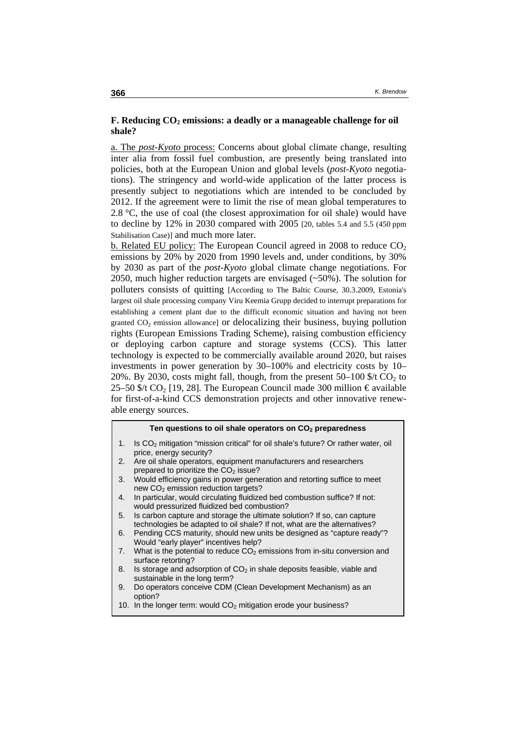### **F. Reducing CO<sub>2</sub> emissions: a deadly or a manageable challenge for oil shale?**

a. The *post-Kyoto* process: Concerns about global climate change, resulting inter alia from fossil fuel combustion, are presently being translated into policies, both at the European Union and global levels (*post-Kyoto* negotiations). The stringency and world-wide application of the latter process is presently subject to negotiations which are intended to be concluded by 2012. If the agreement were to limit the rise of mean global temperatures to 2.8  $\degree$ C, the use of coal (the closest approximation for oil shale) would have to decline by 12% in 2030 compared with 2005 [20, tables 5.4 and 5.5 (450 ppm Stabilisation Case)] and much more later.

b. Related EU policy: The European Council agreed in 2008 to reduce  $CO<sub>2</sub>$ emissions by 20% by 2020 from 1990 levels and, under conditions, by 30% by 2030 as part of the *post-Kyoto* global climate change negotiations. For 2050, much higher reduction targets are envisaged (~50%). The solution for polluters consists of quitting [According to The Baltic Course, 30.3.2009, Estonia's largest oil shale processing company Viru Keemia Grupp decided to interrupt preparations for establishing a cement plant due to the difficult economic situation and having not been granted  $CO<sub>2</sub>$  emission allowance] or delocalizing their business, buying pollution rights (European Emissions Trading Scheme), raising combustion efficiency or deploying carbon capture and storage systems (CCS). This latter technology is expected to be commercially available around 2020, but raises investments in power generation by 30–100% and electricity costs by 10– 20%. By 2030, costs might fall, though, from the present  $50-100$  \$/t CO<sub>2</sub> to 25–50 \$/t CO<sub>2</sub> [19, 28]. The European Council made 300 million  $\epsilon$  available for first-of-a-kind CCS demonstration projects and other innovative renewable energy sources.

#### **Ten questions to oil shale operators on CO2 preparedness**

- 1. Is  $CO<sub>2</sub>$  mitigation "mission critical" for oil shale's future? Or rather water, oil price, energy security?
- 2. Are oil shale operators, equipment manufacturers and researchers prepared to prioritize the  $CO<sub>2</sub>$  issue?
- 3. Would efficiency gains in power generation and retorting suffice to meet new  $CO<sub>2</sub>$  emission reduction targets?
- 4. In particular, would circulating fluidized bed combustion suffice? If not: would pressurized fluidized bed combustion?
- 5. Is carbon capture and storage the ultimate solution? If so, can capture technologies be adapted to oil shale? If not, what are the alternatives?
- 6. Pending CCS maturity, should new units be designed as "capture ready"? Would "early player" incentives help?
- 7. What is the potential to reduce  $CO<sub>2</sub>$  emissions from in-situ conversion and surface retorting?
- 8. Is storage and adsorption of  $CO<sub>2</sub>$  in shale deposits feasible, viable and sustainable in the long term?
- 9. Do operators conceive CDM (Clean Development Mechanism) as an option?
- 10. In the longer term: would CO<sub>2</sub> mitigation erode your business?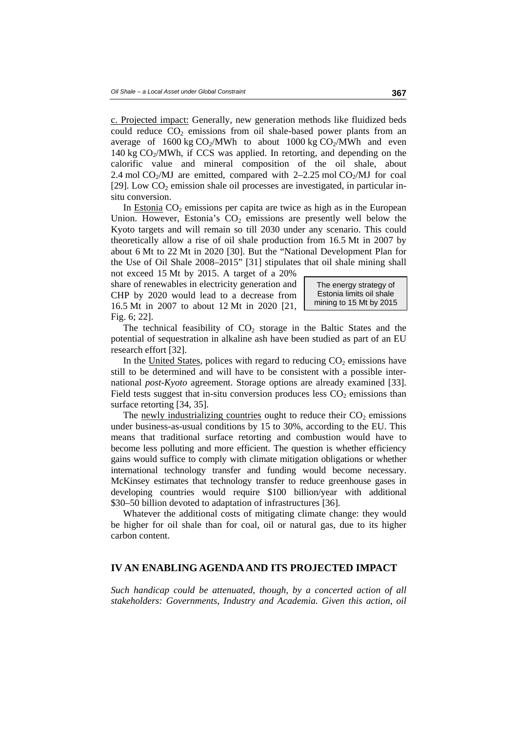c. Projected impact: Generally, new generation methods like fluidized beds could reduce  $CO<sub>2</sub>$  emissions from oil shale-based power plants from an average of  $1600 \text{ kg CO}_2/\text{MWh}$  to about  $1000 \text{ kg CO}_2/\text{MWh}$  and even 140 kg  $CO<sub>2</sub>/MWh$ , if CCS was applied. In retorting, and depending on the calorific value and mineral composition of the oil shale, about 2.4 mol  $CO<sub>2</sub>/MJ$  are emitted, compared with  $2-2.25$  mol  $CO<sub>2</sub>/MJ$  for coal [29]. Low  $CO<sub>2</sub>$  emission shale oil processes are investigated, in particular insitu conversion.

In Estonia  $CO<sub>2</sub>$  emissions per capita are twice as high as in the European Union. However, Estonia's  $CO<sub>2</sub>$  emissions are presently well below the Kyoto targets and will remain so till 2030 under any scenario. This could theoretically allow a rise of oil shale production from 16.5 Mt in 2007 by about 6 Mt to 22 Mt in 2020 [30]. But the "National Development Plan for the Use of Oil Shale 2008–2015" [31] stipulates that oil shale mining shall

not exceed 15 Mt by 2015. A target of a 20% share of renewables in electricity generation and CHP by 2020 would lead to a decrease from 16.5 Mt in 2007 to about 12 Mt in 2020 [21, Fig. 6; 22].

The energy strategy of Estonia limits oil shale mining to 15 Mt by 2015

The technical feasibility of  $CO<sub>2</sub>$  storage in the Baltic States and the potential of sequestration in alkaline ash have been studied as part of an EU research effort [32].

In the United States, polices with regard to reducing  $CO<sub>2</sub>$  emissions have still to be determined and will have to be consistent with a possible international *post-Kyoto* agreement. Storage options are already examined [33]. Field tests suggest that in-situ conversion produces less  $CO<sub>2</sub>$  emissions than surface retorting [34, 35].

The newly industrializing countries ought to reduce their  $CO<sub>2</sub>$  emissions under business-as-usual conditions by 15 to 30%, according to the EU. This means that traditional surface retorting and combustion would have to become less polluting and more efficient. The question is whether efficiency gains would suffice to comply with climate mitigation obligations or whether international technology transfer and funding would become necessary. McKinsey estimates that technology transfer to reduce greenhouse gases in developing countries would require \$100 billion/year with additional \$30–50 billion devoted to adaptation of infrastructures [36].

Whatever the additional costs of mitigating climate change: they would be higher for oil shale than for coal, oil or natural gas, due to its higher carbon content.

### **IV AN ENABLING AGENDA AND ITS PROJECTED IMPACT**

*Such handicap could be attenuated, though, by a concerted action of all stakeholders: Governments, Industry and Academia. Given this action, oil*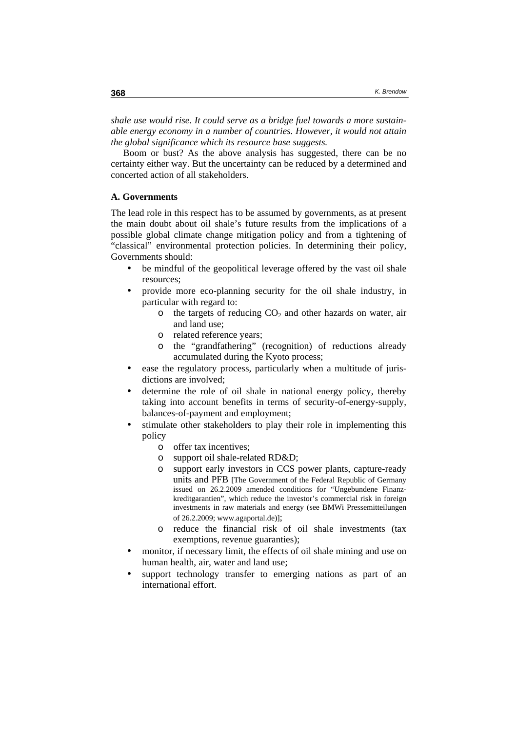*shale use would rise. It could serve as a bridge fuel towards a more sustainable energy economy in a number of countries. However, it would not attain the global significance which its resource base suggests.* 

Boom or bust? As the above analysis has suggested, there can be no certainty either way. But the uncertainty can be reduced by a determined and concerted action of all stakeholders.

#### **A. Governments**

The lead role in this respect has to be assumed by governments, as at present the main doubt about oil shale's future results from the implications of a possible global climate change mitigation policy and from a tightening of "classical" environmental protection policies. In determining their policy, Governments should:

- be mindful of the geopolitical leverage offered by the vast oil shale resources;
- provide more eco-planning security for the oil shale industry, in particular with regard to:
	- $\circ$  the targets of reducing  $CO<sub>2</sub>$  and other hazards on water, air and land use;
	- o related reference years;
	- o the "grandfathering" (recognition) of reductions already accumulated during the Kyoto process;
- ease the regulatory process, particularly when a multitude of jurisdictions are involved;
- determine the role of oil shale in national energy policy, thereby taking into account benefits in terms of security-of-energy-supply, balances-of-payment and employment;
- stimulate other stakeholders to play their role in implementing this policy
	- o offer tax incentives;
	- o support oil shale-related RD&D;
	- o support early investors in CCS power plants, capture-ready units and PFB [The Government of the Federal Republic of Germany issued on 26.2.2009 amended conditions for "Ungebundene Finanzkreditgarantien", which reduce the investor's commercial risk in foreign investments in raw materials and energy (see BMWi Pressemitteilungen of 26.2.2009; www.agaportal.de)];
	- o reduce the financial risk of oil shale investments (tax exemptions, revenue guaranties);
- monitor, if necessary limit, the effects of oil shale mining and use on human health, air, water and land use;
- support technology transfer to emerging nations as part of an international effort.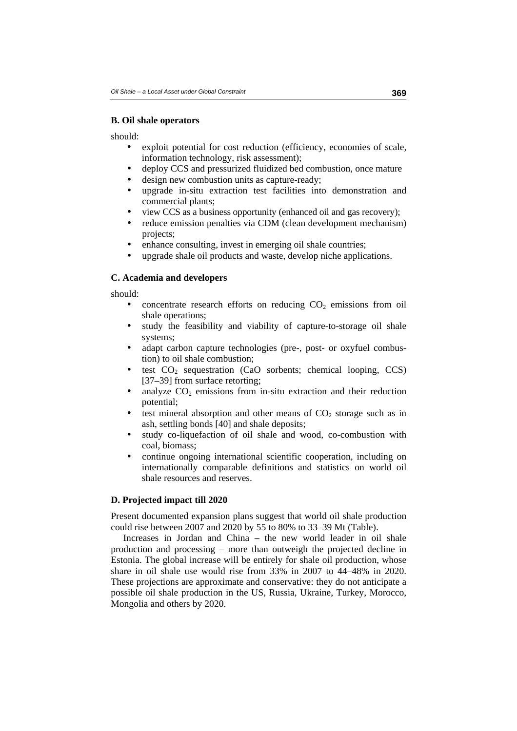### **B. Oil shale operators**

should:

- exploit potential for cost reduction (efficiency, economies of scale, information technology, risk assessment);
- deploy CCS and pressurized fluidized bed combustion, once mature
- design new combustion units as capture-ready;
- upgrade in-situ extraction test facilities into demonstration and commercial plants;
- view CCS as a business opportunity (enhanced oil and gas recovery);
- reduce emission penalties via CDM (clean development mechanism) projects;
- enhance consulting, invest in emerging oil shale countries;
- upgrade shale oil products and waste, develop niche applications.

### **C. Academia and developers**

should:

- concentrate research efforts on reducing  $CO<sub>2</sub>$  emissions from oil shale operations;
- study the feasibility and viability of capture-to-storage oil shale systems;
- adapt carbon capture technologies (pre-, post- or oxyfuel combustion) to oil shale combustion;
- test  $CO<sub>2</sub>$  sequestration (CaO sorbents; chemical looping, CCS) [37–39] from surface retorting;
- analyze  $CO<sub>2</sub>$  emissions from in-situ extraction and their reduction potential;
- test mineral absorption and other means of  $CO<sub>2</sub>$  storage such as in ash, settling bonds [40] and shale deposits;
- study co-liquefaction of oil shale and wood, co-combustion with coal, biomass;
- continue ongoing international scientific cooperation, including on internationally comparable definitions and statistics on world oil shale resources and reserves.

# **D. Projected impact till 2020**

Present documented expansion plans suggest that world oil shale production could rise between 2007 and 2020 by 55 to 80% to 33–39 Mt (Table).

Increases in Jordan and China **–** the new world leader in oil shale production and processing – more than outweigh the projected decline in Estonia. The global increase will be entirely for shale oil production, whose share in oil shale use would rise from 33% in 2007 to 44–48% in 2020. These projections are approximate and conservative: they do not anticipate a possible oil shale production in the US, Russia, Ukraine, Turkey, Morocco, Mongolia and others by 2020.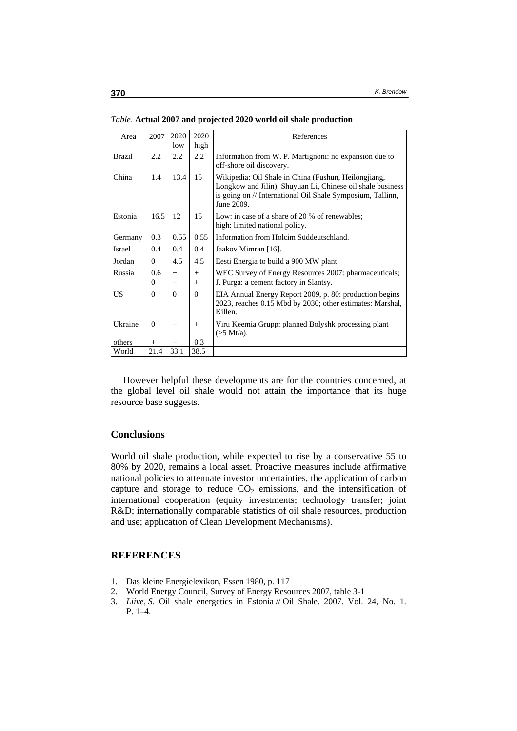| Area          | 2007            | 2020<br>low      | 2020<br>high | References                                                                                                                                                                                     |
|---------------|-----------------|------------------|--------------|------------------------------------------------------------------------------------------------------------------------------------------------------------------------------------------------|
| <b>Brazil</b> | 2.2             | 2.2              | 2.2          | Information from W. P. Martignoni: no expansion due to<br>off-shore oil discovery.                                                                                                             |
| China         | 1.4             | 13.4             | 15           | Wikipedia: Oil Shale in China (Fushun, Heilongjiang,<br>Longkow and Jilin); Shuyuan Li, Chinese oil shale business<br>is going on // International Oil Shale Symposium, Tallinn,<br>June 2009. |
| Estonia       | 16.5            | 12               | 15           | Low: in case of a share of 20 % of renewables;<br>high: limited national policy.                                                                                                               |
| Germany       | 0.3             | 0.55             | 0.55         | Information from Holcim Süddeutschland.                                                                                                                                                        |
| Israel        | 0.4             | 0.4              | 0.4          | Jaakov Mimran [16].                                                                                                                                                                            |
| Jordan        | $\Omega$        | 4.5              | 4.5          | Eesti Energia to build a 900 MW plant.                                                                                                                                                         |
| Russia        | 0.6<br>$\Omega$ | $^{+}$<br>$^{+}$ | $+$<br>$+$   | WEC Survey of Energy Resources 2007: pharmaceuticals;<br>J. Purga: a cement factory in Slantsy.                                                                                                |
| US            | $\Omega$        | $\Omega$         | $\Omega$     | EIA Annual Energy Report 2009, p. 80: production begins<br>2023, reaches 0.15 Mbd by 2030; other estimates: Marshal,<br>Killen.                                                                |
| Ukraine       | $\Omega$        | $^{+}$           | $+$          | Viru Keemia Grupp: planned Bolyshk processing plant<br>$($ >5 Mt/a).                                                                                                                           |
| others        | $^{+}$          | $^{+}$           | 0.3          |                                                                                                                                                                                                |
| World         | 21.4            | 33.1             | 38.5         |                                                                                                                                                                                                |

*Table*. **Actual 2007 and projected 2020 world oil shale production** 

However helpful these developments are for the countries concerned, at the global level oil shale would not attain the importance that its huge resource base suggests.

### **Conclusions**

World oil shale production, while expected to rise by a conservative 55 to 80% by 2020, remains a local asset. Proactive measures include affirmative national policies to attenuate investor uncertainties, the application of carbon capture and storage to reduce  $CO<sub>2</sub>$  emissions, and the intensification of international cooperation (equity investments; technology transfer; joint R&D; internationally comparable statistics of oil shale resources, production and use; application of Clean Development Mechanisms).

### **REFERENCES**

- 1. Das kleine Energielexikon, Essen 1980, p. 117
- 2. World Energy Council, Survey of Energy Resources 2007, table 3-1
- 3. *Liive, S*. Oil shale energetics in Estonia // Oil Shale. 2007. Vol. 24, No. 1. P. 1–4.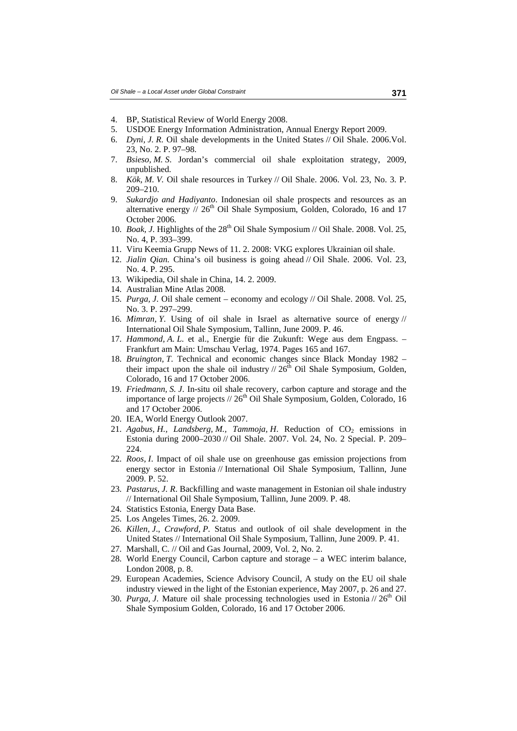- 4. BP, Statistical Review of World Energy 2008.
- 5. USDOE Energy Information Administration, Annual Energy Report 2009.
- 6. *Dyni, J. R*. Oil shale developments in the United States // Oil Shale. 2006.Vol. 23, No. 2. P. 97–98.
- 7. *Bsieso, M. S*. Jordan's commercial oil shale exploitation strategy, 2009, unpublished.
- 8. *Kök, M. V.* Oil shale resources in Turkey // Oil Shale. 2006. Vol. 23, No. 3. P. 209–210.
- 9. *Sukardjo and Hadiyanto*. Indonesian oil shale prospects and resources as an alternative energy  $/$  26<sup>th</sup> Oil Shale Symposium, Golden, Colorado, 16 and 17 October 2006.
- 10. *Boak, J.* Highlights of the 28<sup>th</sup> Oil Shale Symposium // Oil Shale. 2008. Vol. 25, No. 4, P. 393–399.
- 11. Viru Keemia Grupp News of 11. 2. 2008: VKG explores Ukrainian oil shale.
- 12. *Jialin Qian.* China's oil business is going ahead // Oil Shale. 2006. Vol. 23, No. 4. P. 295.
- 13. Wikipedia, Oil shale in China, 14. 2. 2009.
- 14. Australian Mine Atlas 2008.
- 15. *Purga, J*. Oil shale cement economy and ecology // Oil Shale. 2008. Vol. 25, No. 3. P. 297–299.
- 16. *Mimran, Y*. Using of oil shale in Israel as alternative source of energy // International Oil Shale Symposium, Tallinn, June 2009. P. 46.
- 17. *Hammond, A. L*. et al., Energie für die Zukunft: Wege aus dem Engpass. Frankfurt am Main: Umschau Verlag, 1974. Pages 165 and 167.
- 18. *Bruington, T*. Technical and economic changes since Black Monday 1982 their impact upon the shale oil industry  $/ \frac{26}{\text{th}}$  Oil Shale Symposium, Golden, Colorado, 16 and 17 October 2006.
- 19. *Friedmann, S. J*. In-situ oil shale recovery, carbon capture and storage and the importance of large projects  $/$  26<sup>th</sup> Oil Shale Symposium, Golden, Colorado, 16 and 17 October 2006.
- 20. IEA, World Energy Outlook 2007.
- 21. *Agabus, H., Landsberg, M., Tammoja, H.* Reduction of CO<sub>2</sub> emissions in Estonia during 2000–2030 // Oil Shale. 2007. Vol. 24, No. 2 Special. P. 209– 224.
- 22. *Roos, I*. Impact of oil shale use on greenhouse gas emission projections from energy sector in Estonia // International Oil Shale Symposium, Tallinn, June 2009. P. 52.
- 23. *Pastarus, J. R*. Backfilling and waste management in Estonian oil shale industry // International Oil Shale Symposium, Tallinn, June 2009. P. 48.
- 24. Statistics Estonia, Energy Data Base.
- 25. Los Angeles Times, 26. 2. 2009.
- 26. *Killen, J*., *Crawford, P.* Status and outlook of oil shale development in the United States // International Oil Shale Symposium, Tallinn, June 2009. P. 41.
- 27. Marshall, C. // Oil and Gas Journal, 2009, Vol. 2, No. 2.
- 28. World Energy Council, Carbon capture and storage a WEC interim balance, London 2008, p. 8.
- 29. European Academies, Science Advisory Council, A study on the EU oil shale industry viewed in the light of the Estonian experience, May 2007, p. 26 and 27.
- 30. *Purga, J.* Mature oil shale processing technologies used in Estonia  $\frac{1}{26}$ th Oil Shale Symposium Golden, Colorado, 16 and 17 October 2006.